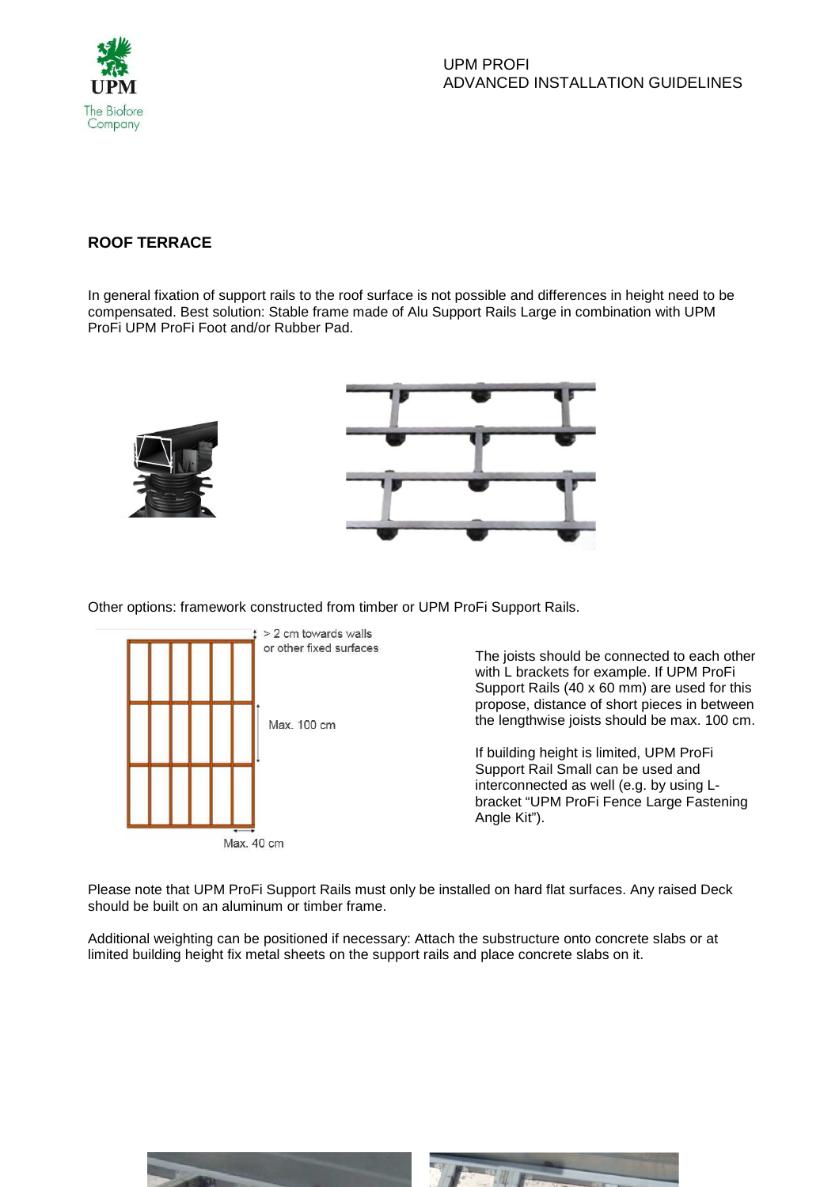

## **ROOF TERRACE**

In general fixation of support rails to the roof surface is not possible and differences in height need to be compensated. Best solution: Stable frame made of Alu Support Rails Large in combination with UPM ProFi UPM ProFi Foot and/or Rubber Pad.



Other options: framework constructed from timber or UPM ProFi Support Rails.



The joists should be connected to each other with L brackets for example. If UPM ProFi Support Rails (40 x 60 mm) are used for this propose, distance of short pieces in between the lengthwise joists should be max. 100 cm.

If building height is limited, UPM ProFi Support Rail Small can be used and interconnected as well (e.g. by using Lbracket "UPM ProFi Fence Large Fastening Angle Kit").

Please note that UPM ProFi Support Rails must only be installed on hard flat surfaces. Any raised Deck should be built on an aluminum or timber frame.

Additional weighting can be positioned if necessary: Attach the substructure onto concrete slabs or at limited building height fix metal sheets on the support rails and place concrete slabs on it.